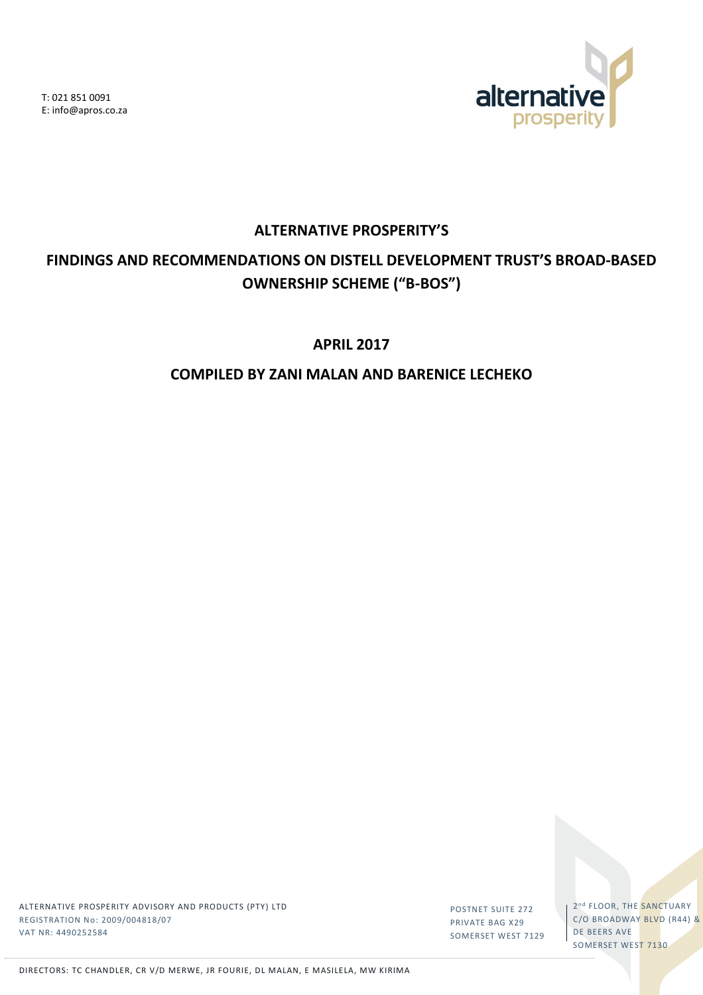

T: 021 851 0091 E: info@apros.co.za

#### **ALTERNATIVE PROSPERITY'S**

# **FINDINGS AND RECOMMENDATIONS ON DISTELL DEVELOPMENT TRUST'S BROAD-BASED OWNERSHIP SCHEME ("B-BOS")**

**APRIL 2017**

#### **COMPILED BY ZANI MALAN AND BARENICE LECHEKO**

ALTERNATIVE PROSPERITY ADVISORY AND PRODUCTS (PTY) LTD REGISTRATION No: 2009/004818/07 VAT NR: 4490252584

POSTNET SUITE 272 PRIVATE BAG X29 SOMERSET WEST 7129

2<sup>nd</sup> FLOOR, THE SANCTUARY C/O BROADWAY BLVD (R44) & DE BEERS AVE SOMERSET WEST 7130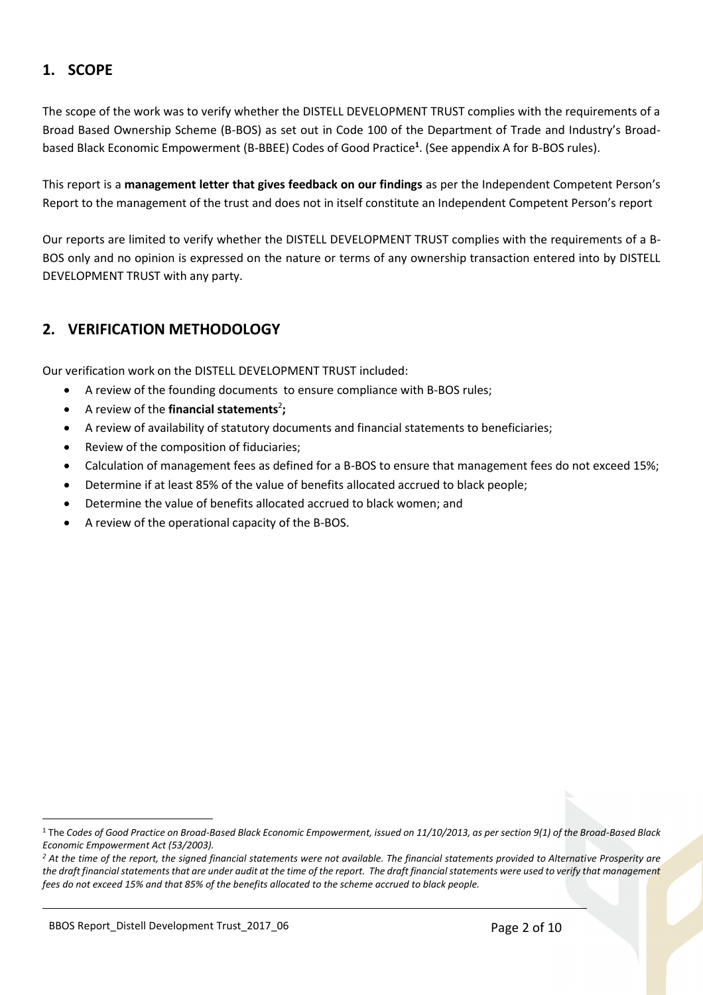### **1. SCOPE**

The scope of the work was to verify whether the DISTELL DEVELOPMENT TRUST complies with the requirements of a Broad Based Ownership Scheme (B-BOS) as set out in Code 100 of the Department of Trade and Industry's Broadbased Black Economic Empowerment (B-BBEE) Codes of Good Practice**<sup>1</sup>** . (See appendix A for B-BOS rules).

This report is a **management letter that gives feedback on our findings** as per the Independent Competent Person's Report to the management of the trust and does not in itself constitute an Independent Competent Person's report

Our reports are limited to verify whether the DISTELL DEVELOPMENT TRUST complies with the requirements of a B-BOS only and no opinion is expressed on the nature or terms of any ownership transaction entered into by DISTELL DEVELOPMENT TRUST with any party.

## **2. VERIFICATION METHODOLOGY**

Our verification work on the DISTELL DEVELOPMENT TRUST included:

- A review of the founding documents to ensure compliance with B-BOS rules;
- A review of the **financial statements**<sup>2</sup>;
- A review of availability of statutory documents and financial statements to beneficiaries;
- Review of the composition of fiduciaries;
- Calculation of management fees as defined for a B-BOS to ensure that management fees do not exceed 15%;
- Determine if at least 85% of the value of benefits allocated accrued to black people;
- Determine the value of benefits allocated accrued to black women; and
- A review of the operational capacity of the B-BOS.

 $\overline{a}$ <sup>1</sup> The *Codes of Good Practice on Broad-Based Black Economic Empowerment, issued on 11/10/2013, as per section 9(1) of the Broad-Based Black Economic Empowerment Act (53/2003).*

*<sup>2</sup> At the time of the report, the signed financial statements were not available. The financial statements provided to Alternative Prosperity are*  the draft financial statements that are under audit at the time of the report. The draft financial statements were used to verify that management *fees do not exceed 15% and that 85% of the benefits allocated to the scheme accrued to black people.*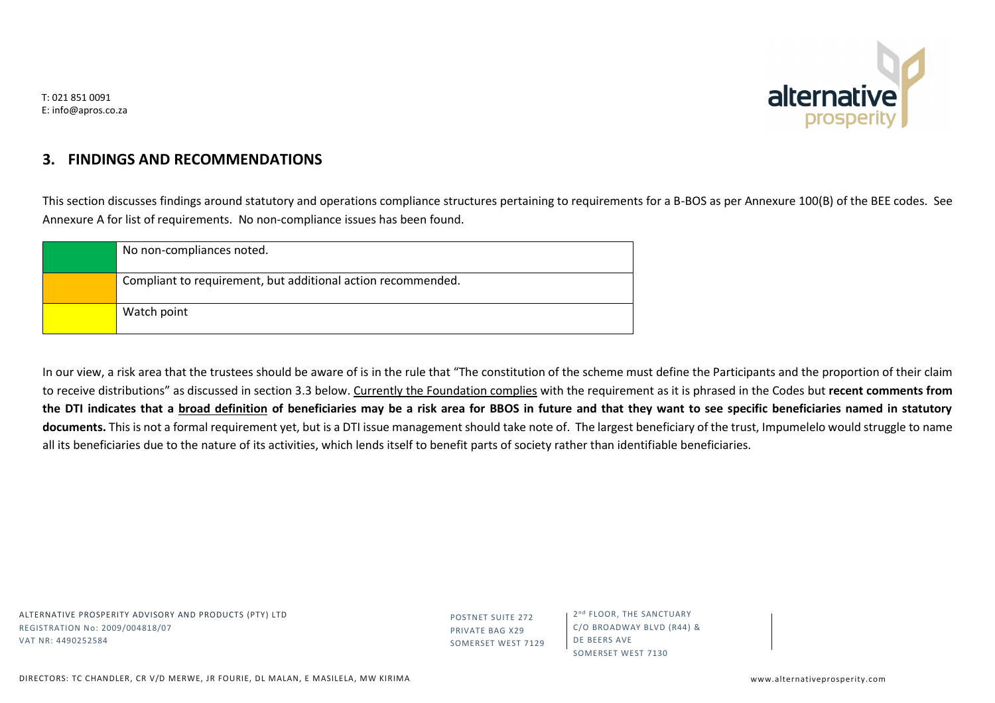

T: 021 851 0091 E: info@apros.co.za

#### **3. FINDINGS AND RECOMMENDATIONS**

This section discusses findings around statutory and operations compliance structures pertaining to requirements for a B-BOS as per Annexure 100(B) of the BEE codes. See Annexure A for list of requirements. No non-compliance issues has been found.

| No non-compliances noted.                                    |
|--------------------------------------------------------------|
| Compliant to requirement, but additional action recommended. |
| Watch point                                                  |

In our view, a risk area that the trustees should be aware of is in the rule that "The constitution of the scheme must define the Participants and the proportion of their claim to receive distributions" as discussed in section 3.3 below. Currently the Foundation complies with the requirement as it is phrased in the Codes but **recent comments from the DTI indicates that a broad definition of beneficiaries may be a risk area for BBOS in future and that they want to see specific beneficiaries named in statutory documents.** This is not a formal requirement yet, but is a DTI issue management should take note of. The largest beneficiary of the trust, Impumelelo would struggle to name all its beneficiaries due to the nature of its activities, which lends itself to benefit parts of society rather than identifiable beneficiaries.

ALTERNATIVE PROSPERITY ADVISORY AND PRODUCTS (PTY) LTD REGISTRATION No: 2009/004818/07 VAT NR: 4490252584

POSTNET SUITE 272 PRIVATE BAG X29 SOMERSET WEST 7129

2<sup>nd</sup> FLOOR, THE SANCTUARY C/O BROADWAY BLVD (R44) & DE BEERS AVE SOMERSET WEST 7130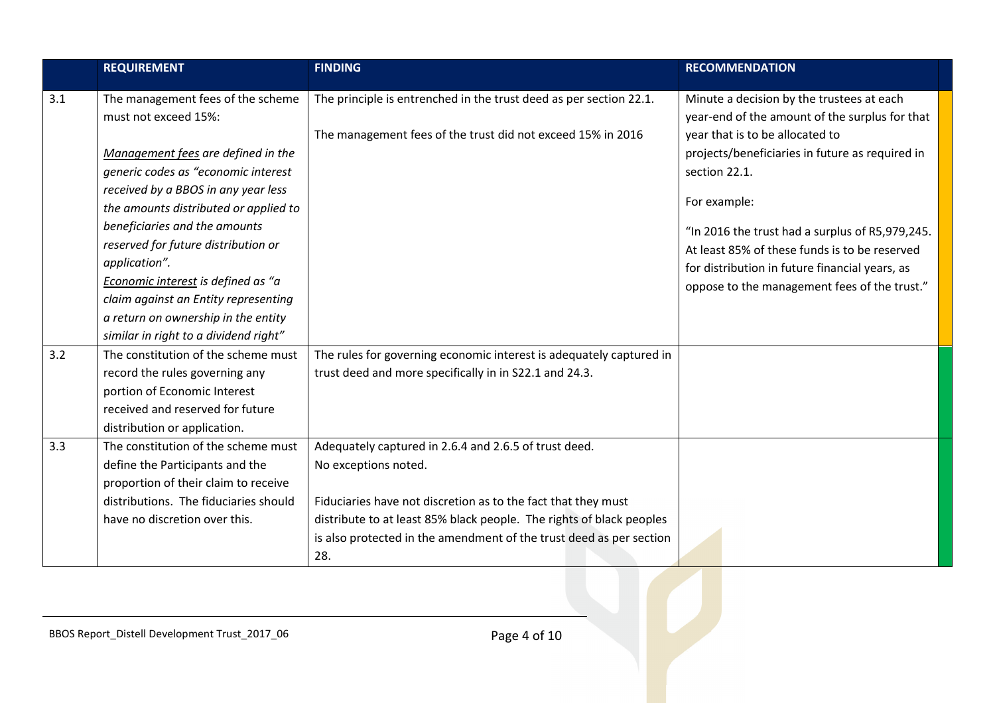|     | <b>REQUIREMENT</b>                    | <b>FINDING</b>                                                       | <b>RECOMMENDATION</b>                           |
|-----|---------------------------------------|----------------------------------------------------------------------|-------------------------------------------------|
| 3.1 | The management fees of the scheme     | The principle is entrenched in the trust deed as per section 22.1.   | Minute a decision by the trustees at each       |
|     | must not exceed 15%:                  |                                                                      | year-end of the amount of the surplus for that  |
|     |                                       | The management fees of the trust did not exceed 15% in 2016          | year that is to be allocated to                 |
|     | Management fees are defined in the    |                                                                      | projects/beneficiaries in future as required in |
|     | generic codes as "economic interest   |                                                                      | section 22.1.                                   |
|     | received by a BBOS in any year less   |                                                                      |                                                 |
|     | the amounts distributed or applied to |                                                                      | For example:                                    |
|     | beneficiaries and the amounts         |                                                                      | "In 2016 the trust had a surplus of R5,979,245. |
|     | reserved for future distribution or   |                                                                      | At least 85% of these funds is to be reserved   |
|     | application".                         |                                                                      | for distribution in future financial years, as  |
|     | Economic interest is defined as "a    |                                                                      | oppose to the management fees of the trust."    |
|     | claim against an Entity representing  |                                                                      |                                                 |
|     | a return on ownership in the entity   |                                                                      |                                                 |
|     | similar in right to a dividend right" |                                                                      |                                                 |
| 3.2 | The constitution of the scheme must   | The rules for governing economic interest is adequately captured in  |                                                 |
|     | record the rules governing any        | trust deed and more specifically in in S22.1 and 24.3.               |                                                 |
|     | portion of Economic Interest          |                                                                      |                                                 |
|     | received and reserved for future      |                                                                      |                                                 |
|     | distribution or application.          |                                                                      |                                                 |
| 3.3 | The constitution of the scheme must   | Adequately captured in 2.6.4 and 2.6.5 of trust deed.                |                                                 |
|     | define the Participants and the       | No exceptions noted.                                                 |                                                 |
|     | proportion of their claim to receive  |                                                                      |                                                 |
|     | distributions. The fiduciaries should | Fiduciaries have not discretion as to the fact that they must        |                                                 |
|     | have no discretion over this.         | distribute to at least 85% black people. The rights of black peoples |                                                 |
|     |                                       | is also protected in the amendment of the trust deed as per section  |                                                 |
|     |                                       | 28.                                                                  |                                                 |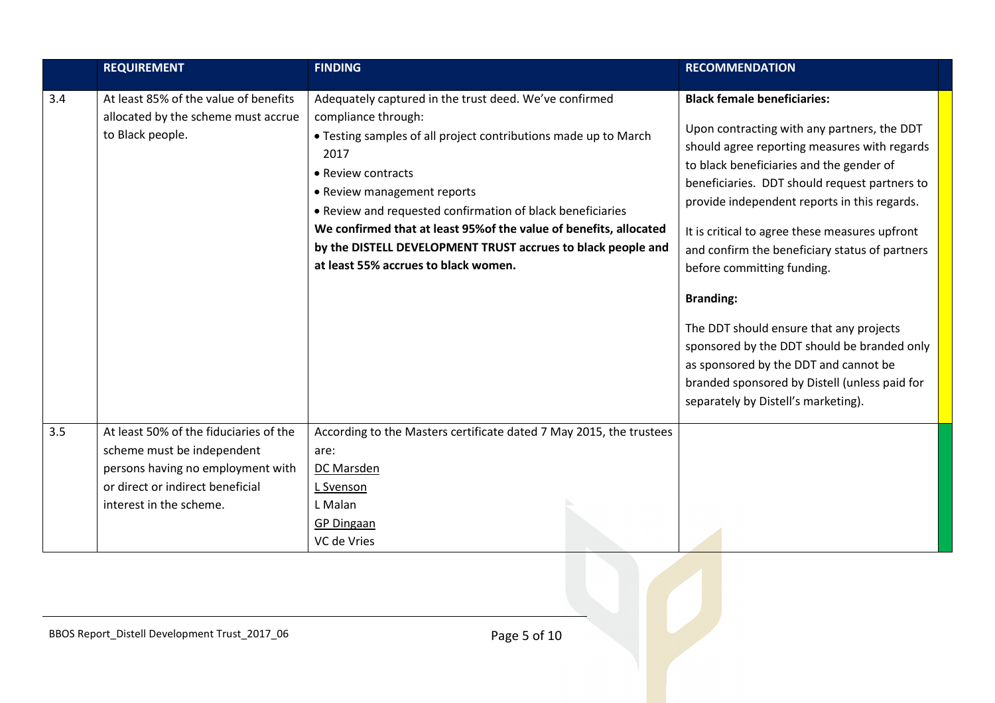|     | <b>REQUIREMENT</b>                                                                                                                                                       | <b>FINDING</b>                                                                                                                                                                                                                                                                                                                                                                                                                                            | <b>RECOMMENDATION</b>                                                                                                                                                                                                                                                                                                                                                                                                                                                                                                                                                                                                                                           |
|-----|--------------------------------------------------------------------------------------------------------------------------------------------------------------------------|-----------------------------------------------------------------------------------------------------------------------------------------------------------------------------------------------------------------------------------------------------------------------------------------------------------------------------------------------------------------------------------------------------------------------------------------------------------|-----------------------------------------------------------------------------------------------------------------------------------------------------------------------------------------------------------------------------------------------------------------------------------------------------------------------------------------------------------------------------------------------------------------------------------------------------------------------------------------------------------------------------------------------------------------------------------------------------------------------------------------------------------------|
| 3.4 | At least 85% of the value of benefits<br>allocated by the scheme must accrue<br>to Black people.                                                                         | Adequately captured in the trust deed. We've confirmed<br>compliance through:<br>• Testing samples of all project contributions made up to March<br>2017<br>• Review contracts<br>• Review management reports<br>• Review and requested confirmation of black beneficiaries<br>We confirmed that at least 95% of the value of benefits, allocated<br>by the DISTELL DEVELOPMENT TRUST accrues to black people and<br>at least 55% accrues to black women. | <b>Black female beneficiaries:</b><br>Upon contracting with any partners, the DDT<br>should agree reporting measures with regards<br>to black beneficiaries and the gender of<br>beneficiaries. DDT should request partners to<br>provide independent reports in this regards.<br>It is critical to agree these measures upfront<br>and confirm the beneficiary status of partners<br>before committing funding.<br><b>Branding:</b><br>The DDT should ensure that any projects<br>sponsored by the DDT should be branded only<br>as sponsored by the DDT and cannot be<br>branded sponsored by Distell (unless paid for<br>separately by Distell's marketing). |
| 3.5 | At least 50% of the fiduciaries of the<br>scheme must be independent<br>persons having no employment with<br>or direct or indirect beneficial<br>interest in the scheme. | According to the Masters certificate dated 7 May 2015, the trustees<br>are:<br>DC Marsden<br>L Svenson<br>L Malan<br><b>GP Dingaan</b><br>VC de Vries                                                                                                                                                                                                                                                                                                     |                                                                                                                                                                                                                                                                                                                                                                                                                                                                                                                                                                                                                                                                 |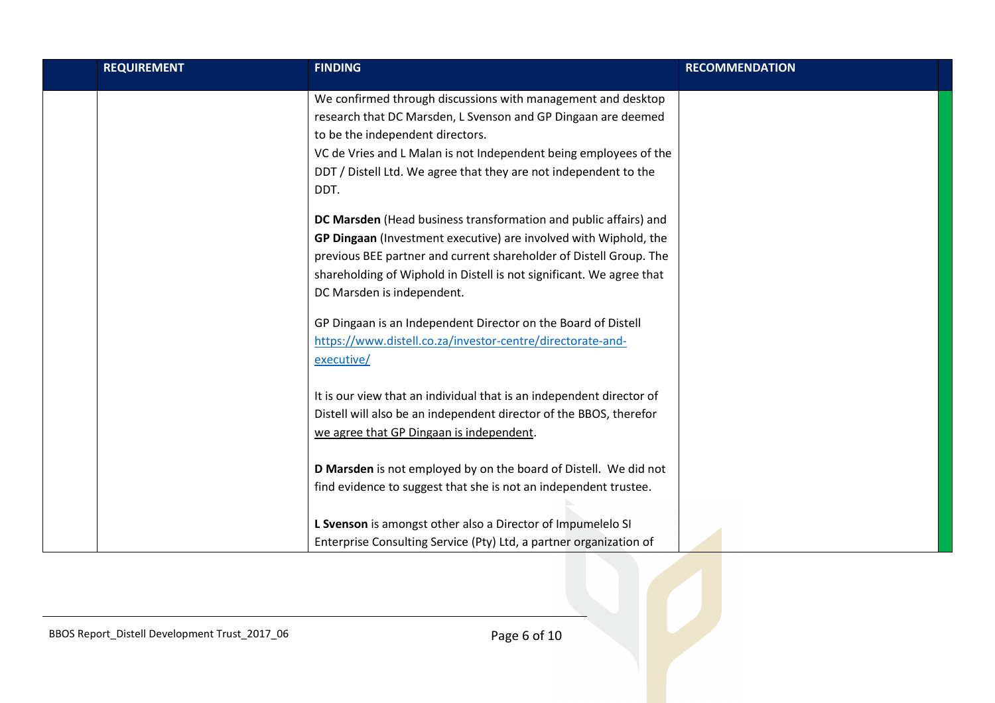| <b>REQUIREMENT</b> | <b>FINDING</b>                                                       | <b>RECOMMENDATION</b> |
|--------------------|----------------------------------------------------------------------|-----------------------|
|                    | We confirmed through discussions with management and desktop         |                       |
|                    | research that DC Marsden, L Svenson and GP Dingaan are deemed        |                       |
|                    | to be the independent directors.                                     |                       |
|                    | VC de Vries and L Malan is not Independent being employees of the    |                       |
|                    | DDT / Distell Ltd. We agree that they are not independent to the     |                       |
|                    | DDT.                                                                 |                       |
|                    | DC Marsden (Head business transformation and public affairs) and     |                       |
|                    | GP Dingaan (Investment executive) are involved with Wiphold, the     |                       |
|                    | previous BEE partner and current shareholder of Distell Group. The   |                       |
|                    | shareholding of Wiphold in Distell is not significant. We agree that |                       |
|                    | DC Marsden is independent.                                           |                       |
|                    | GP Dingaan is an Independent Director on the Board of Distell        |                       |
|                    | https://www.distell.co.za/investor-centre/directorate-and-           |                       |
|                    | executive/                                                           |                       |
|                    | It is our view that an individual that is an independent director of |                       |
|                    | Distell will also be an independent director of the BBOS, therefor   |                       |
|                    | we agree that GP Dingaan is independent.                             |                       |
|                    | D Marsden is not employed by on the board of Distell. We did not     |                       |
|                    |                                                                      |                       |
|                    | find evidence to suggest that she is not an independent trustee.     |                       |
|                    | L Svenson is amongst other also a Director of Impumelelo SI          |                       |
|                    |                                                                      |                       |
|                    | Enterprise Consulting Service (Pty) Ltd, a partner organization of   |                       |

40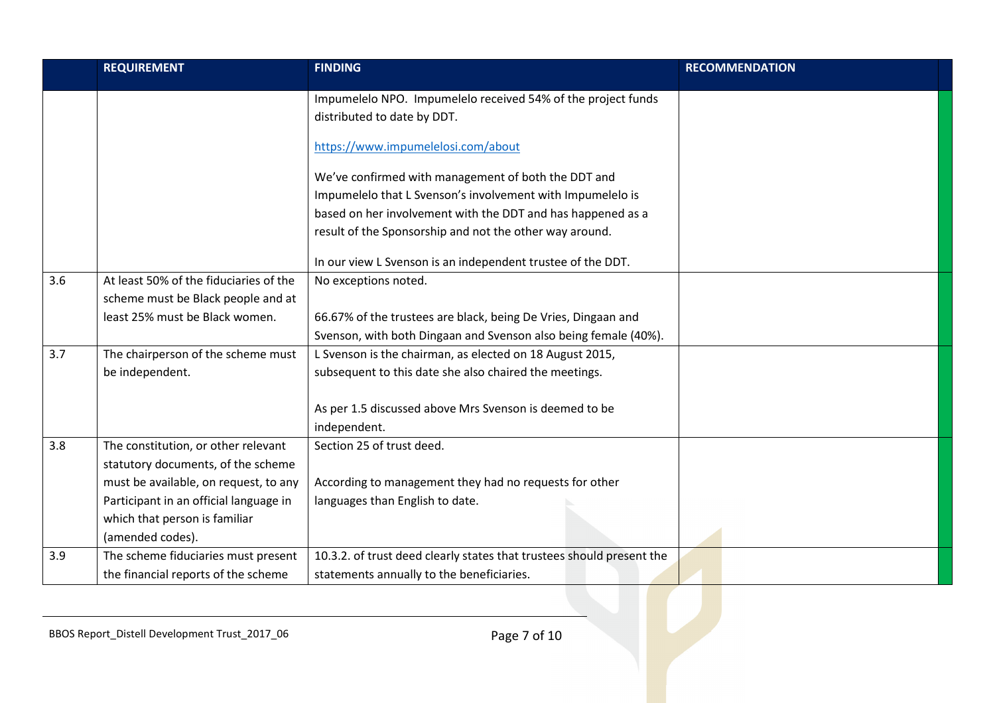|     | <b>REQUIREMENT</b>                     | <b>FINDING</b>                                                        | <b>RECOMMENDATION</b> |
|-----|----------------------------------------|-----------------------------------------------------------------------|-----------------------|
|     |                                        | Impumelelo NPO. Impumelelo received 54% of the project funds          |                       |
|     |                                        | distributed to date by DDT.                                           |                       |
|     |                                        | https://www.impumelelosi.com/about                                    |                       |
|     |                                        | We've confirmed with management of both the DDT and                   |                       |
|     |                                        | Impumelelo that L Svenson's involvement with Impumelelo is            |                       |
|     |                                        | based on her involvement with the DDT and has happened as a           |                       |
|     |                                        | result of the Sponsorship and not the other way around.               |                       |
|     |                                        | In our view L Svenson is an independent trustee of the DDT.           |                       |
| 3.6 | At least 50% of the fiduciaries of the | No exceptions noted.                                                  |                       |
|     | scheme must be Black people and at     |                                                                       |                       |
|     | least 25% must be Black women.         | 66.67% of the trustees are black, being De Vries, Dingaan and         |                       |
|     |                                        | Svenson, with both Dingaan and Svenson also being female (40%).       |                       |
| 3.7 | The chairperson of the scheme must     | L Svenson is the chairman, as elected on 18 August 2015,              |                       |
|     | be independent.                        | subsequent to this date she also chaired the meetings.                |                       |
|     |                                        |                                                                       |                       |
|     |                                        | As per 1.5 discussed above Mrs Svenson is deemed to be                |                       |
|     |                                        | independent.                                                          |                       |
| 3.8 | The constitution, or other relevant    | Section 25 of trust deed.                                             |                       |
|     | statutory documents, of the scheme     |                                                                       |                       |
|     | must be available, on request, to any  | According to management they had no requests for other                |                       |
|     | Participant in an official language in | languages than English to date.                                       |                       |
|     | which that person is familiar          |                                                                       |                       |
|     | (amended codes).                       |                                                                       |                       |
| 3.9 | The scheme fiduciaries must present    | 10.3.2. of trust deed clearly states that trustees should present the |                       |
|     | the financial reports of the scheme    | statements annually to the beneficiaries.                             |                       |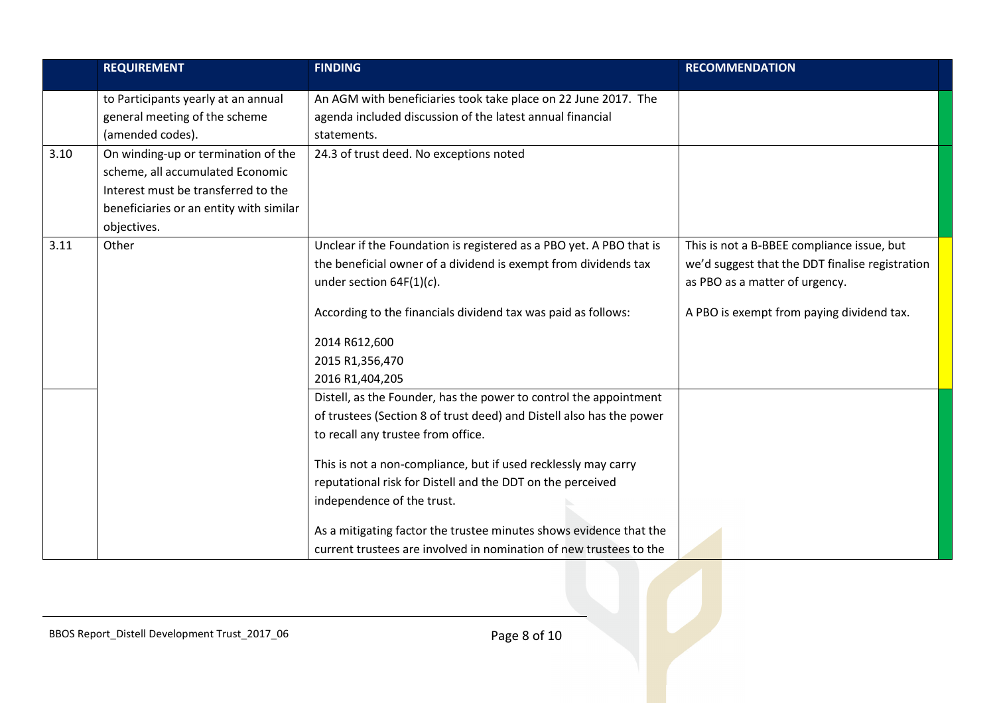|      | <b>REQUIREMENT</b>                      | <b>FINDING</b>                                                       | <b>RECOMMENDATION</b>                           |
|------|-----------------------------------------|----------------------------------------------------------------------|-------------------------------------------------|
|      | to Participants yearly at an annual     | An AGM with beneficiaries took take place on 22 June 2017. The       |                                                 |
|      | general meeting of the scheme           | agenda included discussion of the latest annual financial            |                                                 |
|      | (amended codes).                        | statements.                                                          |                                                 |
| 3.10 | On winding-up or termination of the     | 24.3 of trust deed. No exceptions noted                              |                                                 |
|      | scheme, all accumulated Economic        |                                                                      |                                                 |
|      | Interest must be transferred to the     |                                                                      |                                                 |
|      | beneficiaries or an entity with similar |                                                                      |                                                 |
|      | objectives.                             |                                                                      |                                                 |
| 3.11 | Other                                   | Unclear if the Foundation is registered as a PBO yet. A PBO that is  | This is not a B-BBEE compliance issue, but      |
|      |                                         | the beneficial owner of a dividend is exempt from dividends tax      | we'd suggest that the DDT finalise registration |
|      |                                         | under section $64F(1)(c)$ .                                          | as PBO as a matter of urgency.                  |
|      |                                         | According to the financials dividend tax was paid as follows:        | A PBO is exempt from paying dividend tax.       |
|      |                                         |                                                                      |                                                 |
|      |                                         | 2014 R612,600                                                        |                                                 |
|      |                                         | 2015 R1,356,470                                                      |                                                 |
|      |                                         | 2016 R1,404,205                                                      |                                                 |
|      |                                         | Distell, as the Founder, has the power to control the appointment    |                                                 |
|      |                                         | of trustees (Section 8 of trust deed) and Distell also has the power |                                                 |
|      |                                         | to recall any trustee from office.                                   |                                                 |
|      |                                         | This is not a non-compliance, but if used recklessly may carry       |                                                 |
|      |                                         | reputational risk for Distell and the DDT on the perceived           |                                                 |
|      |                                         | independence of the trust.                                           |                                                 |
|      |                                         | As a mitigating factor the trustee minutes shows evidence that the   |                                                 |
|      |                                         | current trustees are involved in nomination of new trustees to the   |                                                 |

40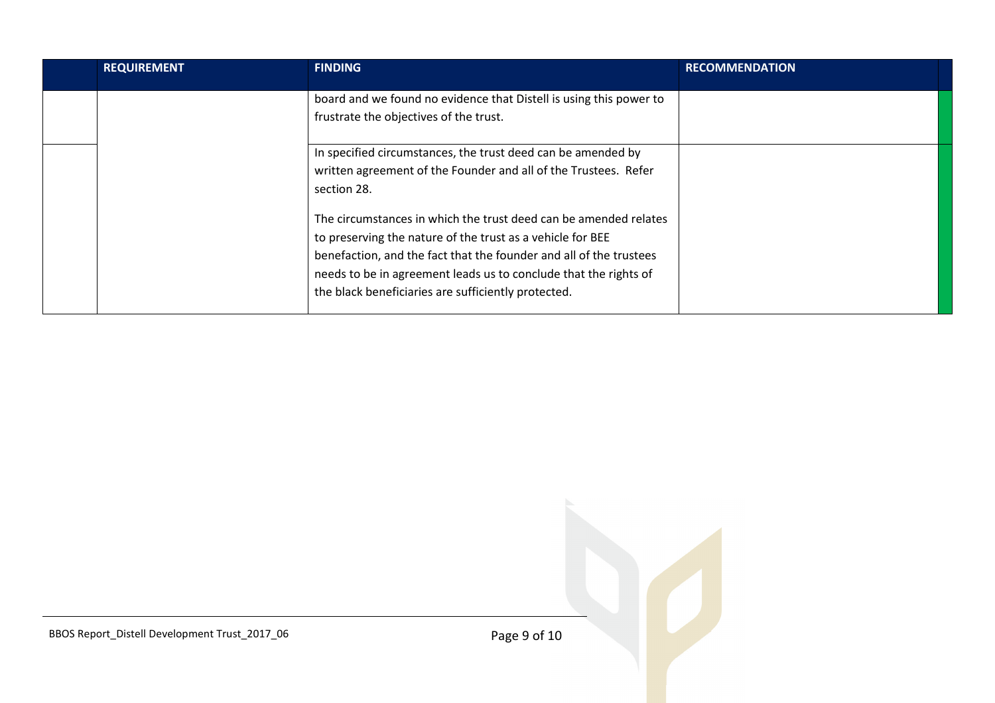| <b>REQUIREMENT</b> | <b>FINDING</b>                                                                                                                                                                                                                                                                                                                  | <b>RECOMMENDATION</b> |
|--------------------|---------------------------------------------------------------------------------------------------------------------------------------------------------------------------------------------------------------------------------------------------------------------------------------------------------------------------------|-----------------------|
|                    | board and we found no evidence that Distell is using this power to<br>frustrate the objectives of the trust.                                                                                                                                                                                                                    |                       |
|                    | In specified circumstances, the trust deed can be amended by<br>written agreement of the Founder and all of the Trustees. Refer<br>section 28.                                                                                                                                                                                  |                       |
|                    | The circumstances in which the trust deed can be amended relates<br>to preserving the nature of the trust as a vehicle for BEE<br>benefaction, and the fact that the founder and all of the trustees<br>needs to be in agreement leads us to conclude that the rights of<br>the black beneficiaries are sufficiently protected. |                       |